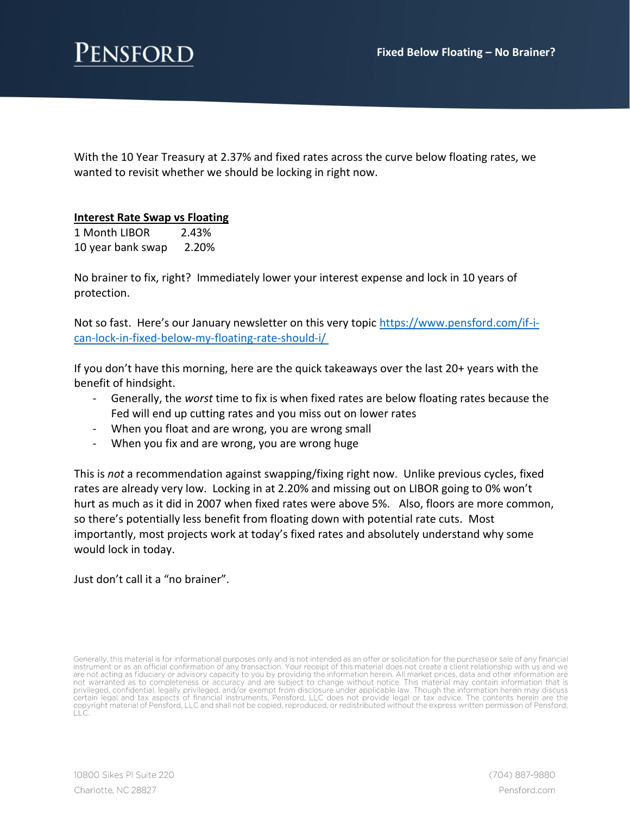

With the 10 Year Treasury at 2.37% and fixed rates across the curve below floating rates, we wanted to revisit whether we should be locking in right now.

## **Interest Rate Swap vs Floating**

1 Month LIBOR 2.43% 10 year bank swap 2.20%

No brainer to fix, right? Immediately lower your interest expense and lock in 10 years of protection.

Not so fast. Here's our January newsletter on this very topic [https://www.pensford.com/if-i](https://www.pensford.com/if-i-can-lock-in-fixed-below-my-floating-rate-should-i/)[can-lock-in-fixed-below-my-floating-rate-should-i/](https://www.pensford.com/if-i-can-lock-in-fixed-below-my-floating-rate-should-i/)

If you don't have this morning, here are the quick takeaways over the last 20+ years with the benefit of hindsight.

- Generally, the *worst* time to fix is when fixed rates are below floating rates because the Fed will end up cutting rates and you miss out on lower rates
- When you float and are wrong, you are wrong small
- When you fix and are wrong, you are wrong huge

This is *not* a recommendation against swapping/fixing right now. Unlike previous cycles, fixed rates are already very low. Locking in at 2.20% and missing out on LIBOR going to 0% won't hurt as much as it did in 2007 when fixed rates were above 5%. Also, floors are more common, so there's potentially less benefit from floating down with potential rate cuts. Most importantly, most projects work at today's fixed rates and absolutely understand why some would lock in today.

Just don't call it a "no brainer".

Generally, this material is for informational purposes only and is not intended as an offer or solicitation for the purchase or sale of any financial instrument or as an official confirmation of any transaction. Your recei certain legal and tax aspects of financial instruments, Pensford, LLC does not provide legal or tax advice. The contents herein are the certain legal and tax aspects of financial instruments, Pensford, LLC does not provide legal or tax advice. The contents herein are the<br>copyright material of Pensford, LLC and shall not be copied, reproduced, or redistribu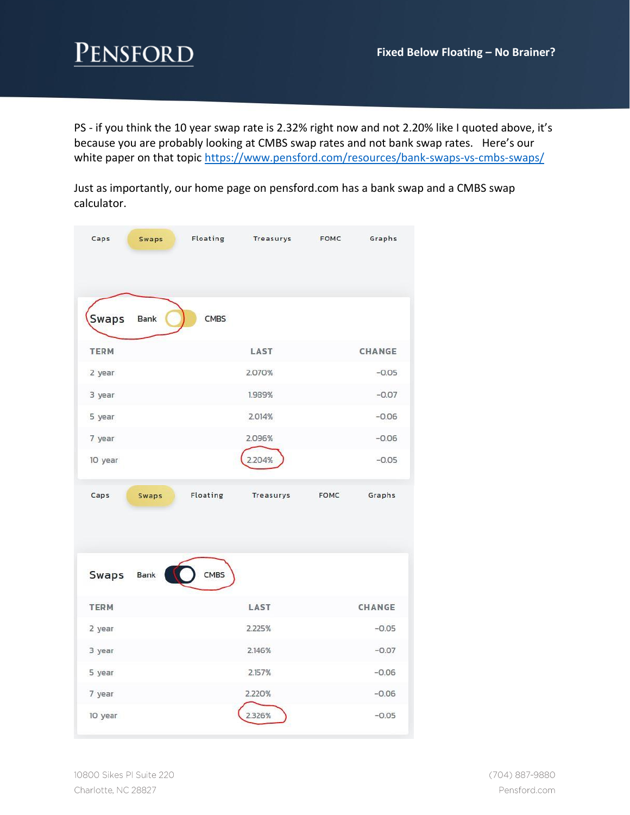PS - if you think the 10 year swap rate is 2.32% right now and not 2.20% like I quoted above, it's because you are probably looking at CMBS swap rates and not bank swap rates. Here's our white paper on that topic<https://www.pensford.com/resources/bank-swaps-vs-cmbs-swaps/>

Just as importantly, our home page on pensford.com has a bank swap and a CMBS swap calculator.

| Caps         | Swaps                    | Floating Treasurys | <b>FOMC</b> | Graphs  |
|--------------|--------------------------|--------------------|-------------|---------|
| <b>Swaps</b> | Bank<br><b>CMBS</b>      |                    |             |         |
| <b>TERM</b>  |                          | LAST               |             | CHANGE  |
| 2 year       |                          | 2.070%             |             | $-0.05$ |
| 3 year       |                          | 1.989%             |             | $-0.07$ |
| 5 year       |                          | 2.014%             |             | $-0.06$ |
| 7 year       |                          | 2.096%             |             | $-0.06$ |
| 10 year      |                          | 2.204%             |             | $-0.05$ |
|              |                          |                    |             |         |
| Caps         | Floating<br><b>Swaps</b> | Treasurys          | <b>FOMC</b> | Graphs  |
| <b>Swaps</b> | CMBS<br>Bank             |                    |             |         |
| <b>TERM</b>  |                          | LAST               |             | CHANGE  |
| 2 year       |                          | 2.225%             |             | $-0.05$ |
| 3 year       |                          | 2.146%             |             | $-0.07$ |
| 5 year       |                          | 2.157%             |             | $-0.06$ |
| 7 year       |                          | 2.220%             |             | $-0.06$ |